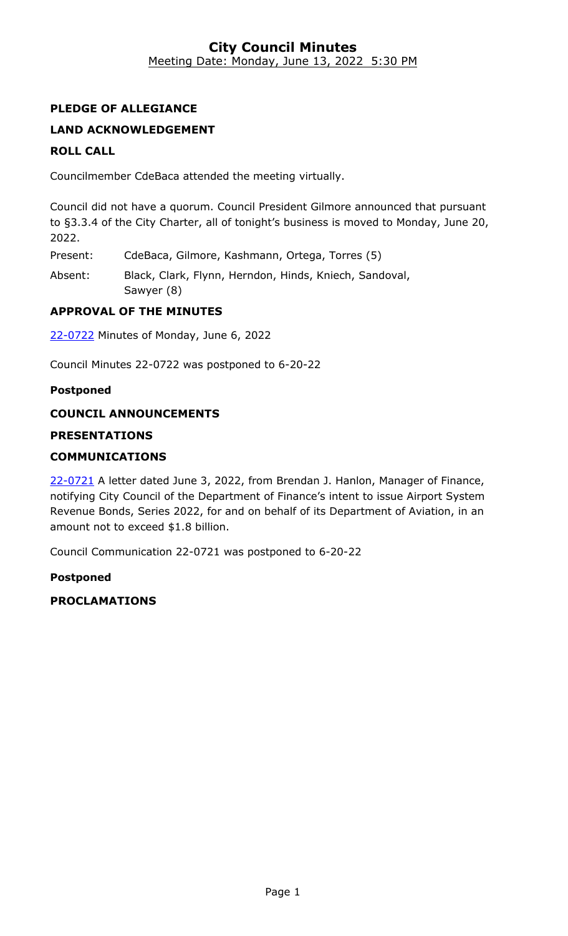## **City Council Minutes** Meeting Date: Monday, June 13, 2022 5:30 PM

# **PLEDGE OF ALLEGIANCE**

# **LAND ACKNOWLEDGEMENT**

## **ROLL CALL**

Councilmember CdeBaca attended the meeting virtually.

Council did not have a quorum. Council President Gilmore announced that pursuant to §3.3.4 of the City Charter, all of tonight's business is moved to Monday, June 20, 2022.

Present: CdeBaca, Gilmore, Kashmann, Ortega, Torres (5)

Absent: Black, Clark, Flynn, Herndon, Hinds, Kniech, Sandoval, Sawyer (8)

## **APPROVAL OF THE MINUTES**

22-0722 [Minutes of Monday, June 6, 2022](http://denver.legistar.com/gateway.aspx?m=l&id=/matter.aspx?key=21789)

Council Minutes 22-0722 was postponed to 6-20-22

#### **Postponed**

## **COUNCIL ANNOUNCEMENTS**

## **PRESENTATIONS**

#### **COMMUNICATIONS**

22-0721 A letter dated June 3, 2022, from Brendan J. Hanlon, Manager of Finance, [notifying City Council of the Department of Finance's intent to issue Airport System](http://denver.legistar.com/gateway.aspx?m=l&id=/matter.aspx?key=21788)  Revenue Bonds, Series 2022, for and on behalf of its Department of Aviation, in an amount not to exceed \$1.8 billion.

Council Communication 22-0721 was postponed to 6-20-22

#### **Postponed**

**PROCLAMATIONS**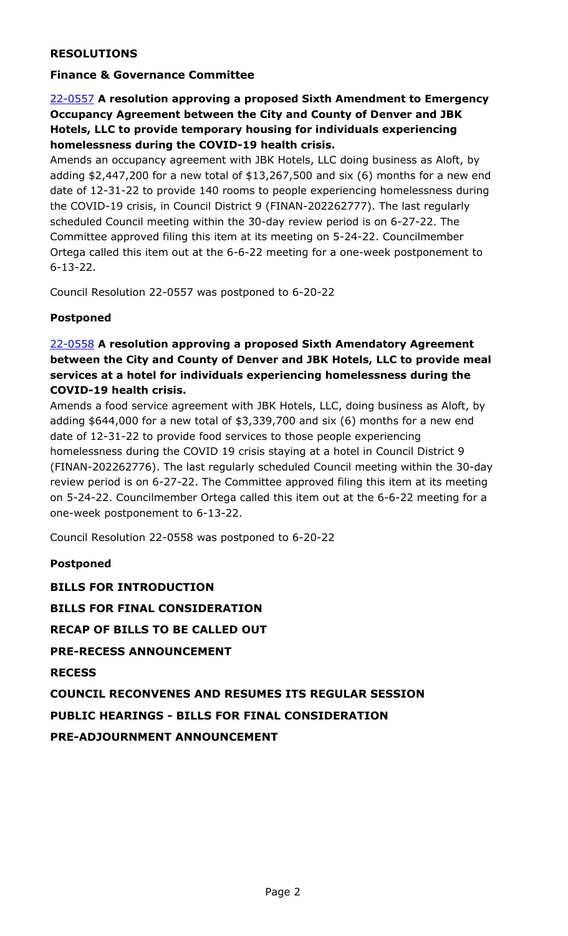## **RESOLUTIONS**

## **Finance & Governance Committee**

## 22-0557 **A resolution approving a proposed Sixth Amendment to Emergency Occupancy Agreement between the City and County of Denver and JBK Hotels, LLC to provide temporary housing for individuals experiencing homelessness during the COVID-19 health crisis.**

Amends an occupancy agreement with JBK Hotels, LLC doing business as Aloft, by [adding \\$2,447,200 for a new total of \\$13,267,500 and six \(6\) months for a new end](http://denver.legistar.com/gateway.aspx?m=l&id=/matter.aspx?key=21624)  date of 12-31-22 to provide 140 rooms to people experiencing homelessness during the COVID-19 crisis, in Council District 9 (FINAN-202262777). The last regularly scheduled Council meeting within the 30-day review period is on 6-27-22. The Committee approved filing this item at its meeting on 5-24-22. Councilmember Ortega called this item out at the 6-6-22 meeting for a one-week postponement to 6-13-22.

Council Resolution 22-0557 was postponed to 6-20-22

## **Postponed**

## 22-0558 **A resolution approving a proposed Sixth Amendatory Agreement between the City and County of Denver and JBK Hotels, LLC to provide meal services at a hotel for individuals experiencing homelessness during the COVID-19 health crisis.**

Amends a food service agreement with JBK Hotels, LLC, doing business as Aloft, by adding \$644,000 for a new total of \$3,339,700 and six (6) months for a new end date of 12-31-22 to provide food services to those people experiencing homelessness during the COVID 19 crisis staying at a hotel in Council District 9 [\(FINAN-202262776\). The last regularly scheduled Council meeting within the 30-day](http://denver.legistar.com/gateway.aspx?m=l&id=/matter.aspx?key=21625)  review period is on 6-27-22. The Committee approved filing this item at its meeting on 5-24-22. Councilmember Ortega called this item out at the 6-6-22 meeting for a one-week postponement to 6-13-22.

Council Resolution 22-0558 was postponed to 6-20-22

# **Postponed BILLS FOR INTRODUCTION BILLS FOR FINAL CONSIDERATION RECAP OF BILLS TO BE CALLED OUT PRE-RECESS ANNOUNCEMENT RECESS COUNCIL RECONVENES AND RESUMES ITS REGULAR SESSION PUBLIC HEARINGS - BILLS FOR FINAL CONSIDERATION PRE-ADJOURNMENT ANNOUNCEMENT**